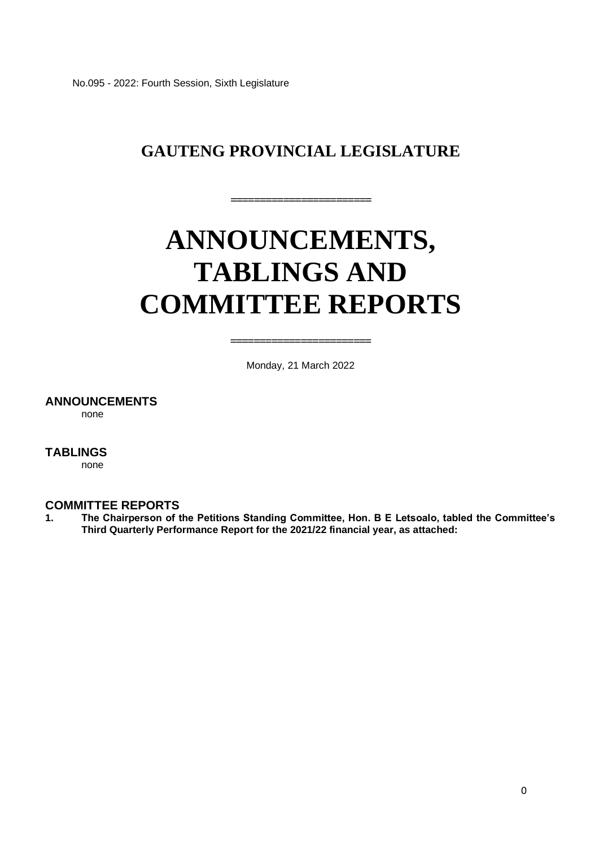No.095 - 2022: Fourth Session, Sixth Legislature

## **GAUTENG PROVINCIAL LEGISLATURE**

**========================** 

# **ANNOUNCEMENTS, TABLINGS AND COMMITTEE REPORTS**

Monday, 21 March 2022

**========================**

#### **ANNOUNCEMENTS**

none

#### **TABLINGS**

none

#### **COMMITTEE REPORTS**

**1. The Chairperson of the Petitions Standing Committee, Hon. B E Letsoalo, tabled the Committee's Third Quarterly Performance Report for the 2021/22 financial year, as attached:**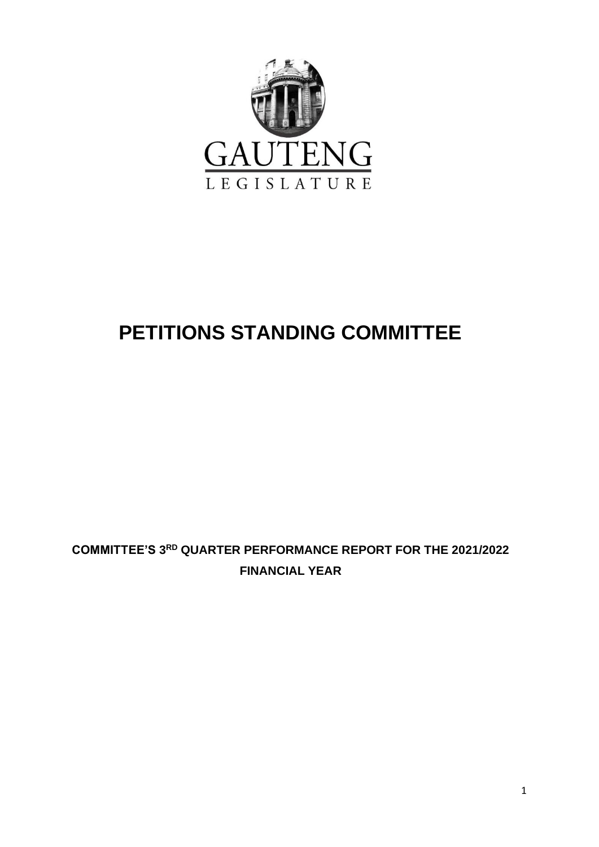

## **PETITIONS STANDING COMMITTEE**

## **COMMITTEE'S 3 RD QUARTER PERFORMANCE REPORT FOR THE 2021/2022 FINANCIAL YEAR**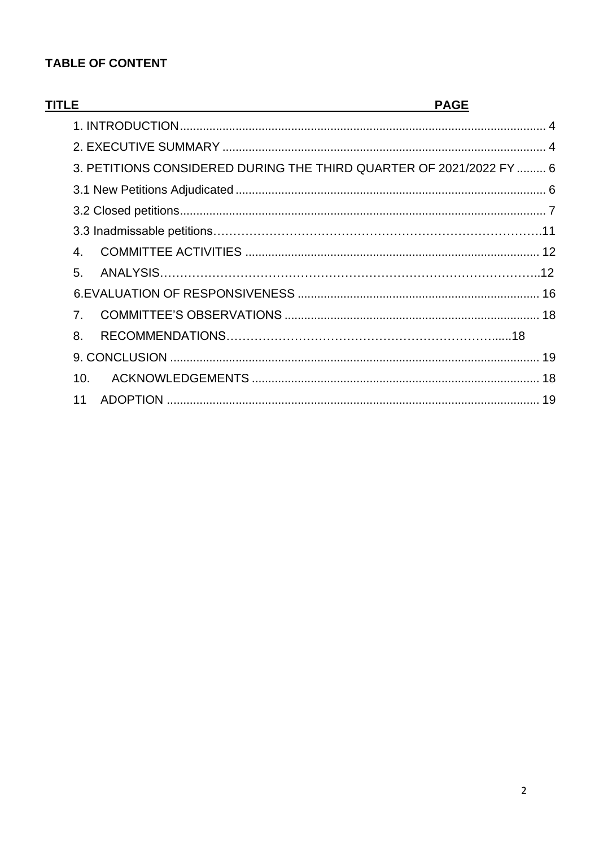## **TABLE OF CONTENT**

| 3. PETITIONS CONSIDERED DURING THE THIRD QUARTER OF 2021/2022 FY  6 |  |
|---------------------------------------------------------------------|--|
|                                                                     |  |
|                                                                     |  |
|                                                                     |  |
|                                                                     |  |
|                                                                     |  |
|                                                                     |  |
| $\mathbf{4}$                                                        |  |
| 5.                                                                  |  |
|                                                                     |  |
| $\overline{7}$ .                                                    |  |
| 8.                                                                  |  |
|                                                                     |  |
| 10.                                                                 |  |
| 11                                                                  |  |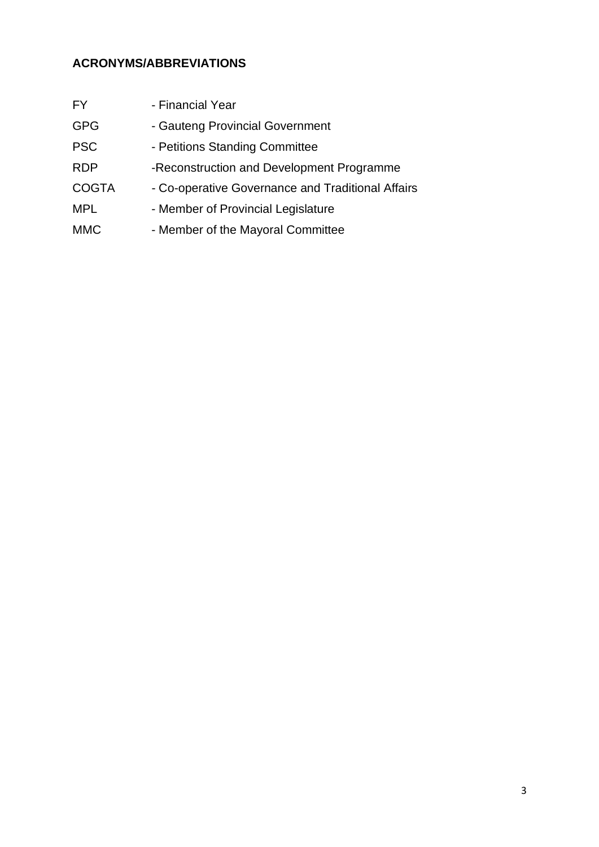## **ACRONYMS/ABBREVIATIONS**

| <b>FY</b>    | - Financial Year                                  |
|--------------|---------------------------------------------------|
| <b>GPG</b>   | - Gauteng Provincial Government                   |
| <b>PSC</b>   | - Petitions Standing Committee                    |
| <b>RDP</b>   | -Reconstruction and Development Programme         |
| <b>COGTA</b> | - Co-operative Governance and Traditional Affairs |
| <b>MPL</b>   | - Member of Provincial Legislature                |
| <b>MMC</b>   | - Member of the Mayoral Committee                 |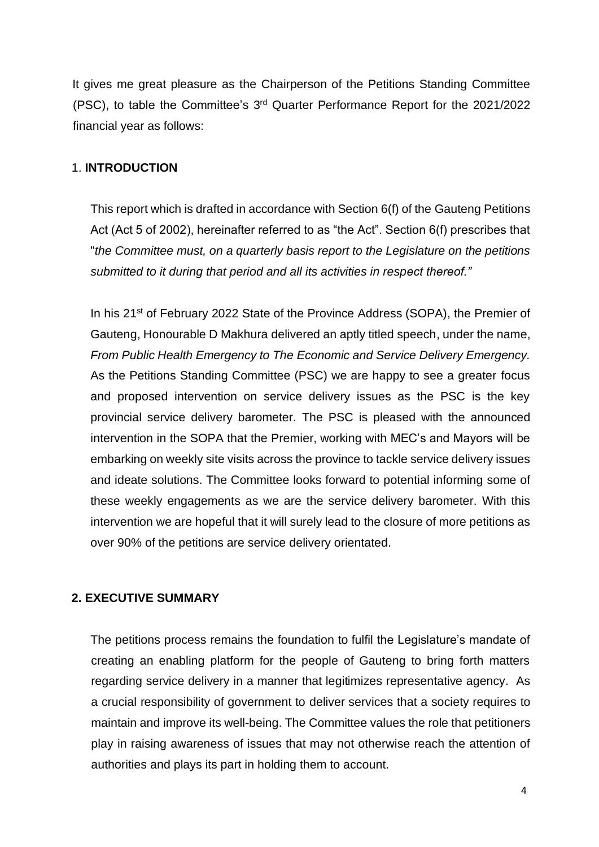It gives me great pleasure as the Chairperson of the Petitions Standing Committee (PSC), to table the Committee's 3 rd Quarter Performance Report for the 2021/2022 financial year as follows:

#### <span id="page-4-0"></span>1. **INTRODUCTION**

This report which is drafted in accordance with Section 6(f) of the Gauteng Petitions Act (Act 5 of 2002), hereinafter referred to as "the Act". Section 6(f) prescribes that "*the Committee must, on a quarterly basis report to the Legislature on the petitions submitted to it during that period and all its activities in respect thereof."* 

In his 21<sup>st</sup> of February 2022 State of the Province Address (SOPA), the Premier of Gauteng, Honourable D Makhura delivered an aptly titled speech, under the name, *From Public Health Emergency to The Economic and Service Delivery Emergency.* As the Petitions Standing Committee (PSC) we are happy to see a greater focus and proposed intervention on service delivery issues as the PSC is the key provincial service delivery barometer. The PSC is pleased with the announced intervention in the SOPA that the Premier, working with MEC's and Mayors will be embarking on weekly site visits across the province to tackle service delivery issues and ideate solutions. The Committee looks forward to potential informing some of these weekly engagements as we are the service delivery barometer. With this intervention we are hopeful that it will surely lead to the closure of more petitions as over 90% of the petitions are service delivery orientated.

#### <span id="page-4-1"></span>**2. EXECUTIVE SUMMARY**

The petitions process remains the foundation to fulfil the Legislature's mandate of creating an enabling platform for the people of Gauteng to bring forth matters regarding service delivery in a manner that legitimizes representative agency. As a crucial responsibility of government to deliver services that a society requires to maintain and improve its well-being. The Committee values the role that petitioners play in raising awareness of issues that may not otherwise reach the attention of authorities and plays its part in holding them to account.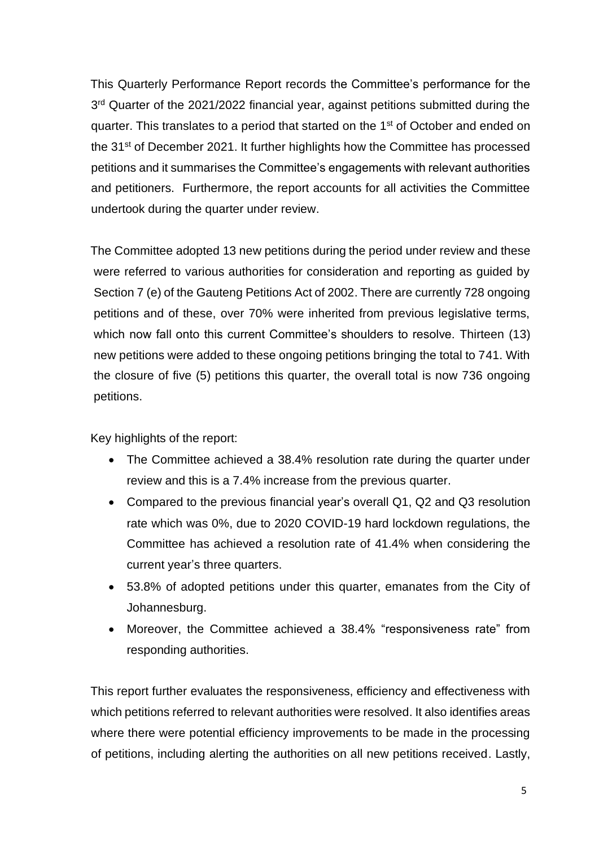This Quarterly Performance Report records the Committee's performance for the 3<sup>rd</sup> Quarter of the 2021/2022 financial year, against petitions submitted during the quarter. This translates to a period that started on the 1<sup>st</sup> of October and ended on the 31<sup>st</sup> of December 2021. It further highlights how the Committee has processed petitions and it summarises the Committee's engagements with relevant authorities and petitioners. Furthermore, the report accounts for all activities the Committee undertook during the quarter under review.

The Committee adopted 13 new petitions during the period under review and these were referred to various authorities for consideration and reporting as guided by Section 7 (e) of the Gauteng Petitions Act of 2002. There are currently 728 ongoing petitions and of these, over 70% were inherited from previous legislative terms, which now fall onto this current Committee's shoulders to resolve. Thirteen (13) new petitions were added to these ongoing petitions bringing the total to 741. With the closure of five (5) petitions this quarter, the overall total is now 736 ongoing petitions.

Key highlights of the report:

- The Committee achieved a 38.4% resolution rate during the quarter under review and this is a 7.4% increase from the previous quarter.
- Compared to the previous financial year's overall Q1, Q2 and Q3 resolution rate which was 0%, due to 2020 COVID-19 hard lockdown regulations, the Committee has achieved a resolution rate of 41.4% when considering the current year's three quarters.
- 53.8% of adopted petitions under this quarter, emanates from the City of Johannesburg.
- Moreover, the Committee achieved a 38.4% "responsiveness rate" from responding authorities.

This report further evaluates the responsiveness, efficiency and effectiveness with which petitions referred to relevant authorities were resolved. It also identifies areas where there were potential efficiency improvements to be made in the processing of petitions, including alerting the authorities on all new petitions received. Lastly,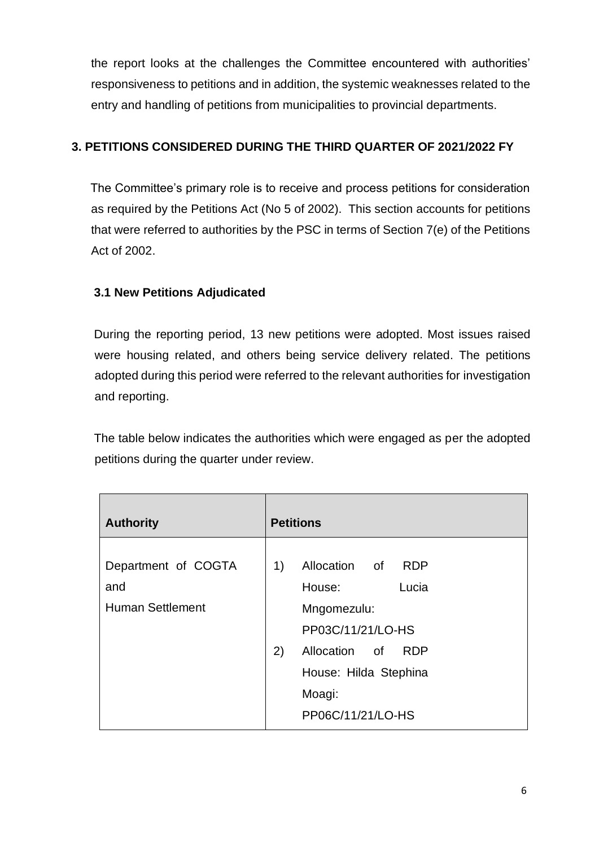the report looks at the challenges the Committee encountered with authorities' responsiveness to petitions and in addition, the systemic weaknesses related to the entry and handling of petitions from municipalities to provincial departments.

## <span id="page-6-0"></span>**3. PETITIONS CONSIDERED DURING THE THIRD QUARTER OF 2021/2022 FY**

The Committee's primary role is to receive and process petitions for consideration as required by the Petitions Act (No 5 of 2002). This section accounts for petitions that were referred to authorities by the PSC in terms of Section 7(e) of the Petitions Act of 2002.

### <span id="page-6-1"></span>**3.1 New Petitions Adjudicated**

During the reporting period, 13 new petitions were adopted. Most issues raised were housing related, and others being service delivery related. The petitions adopted during this period were referred to the relevant authorities for investigation and reporting.

The table below indicates the authorities which were engaged as per the adopted petitions during the quarter under review.

| <b>Authority</b>                                      | <b>Petitions</b>                                                                                                                                                            |  |  |
|-------------------------------------------------------|-----------------------------------------------------------------------------------------------------------------------------------------------------------------------------|--|--|
| Department of COGTA<br>and<br><b>Human Settlement</b> | Allocation of<br>1)<br><b>RDP</b><br>House:<br>Lucia<br>Mngomezulu:<br>PP03C/11/21/LO-HS<br>2)<br>Allocation of RDP<br>House: Hilda Stephina<br>Moagi:<br>PP06C/11/21/LO-HS |  |  |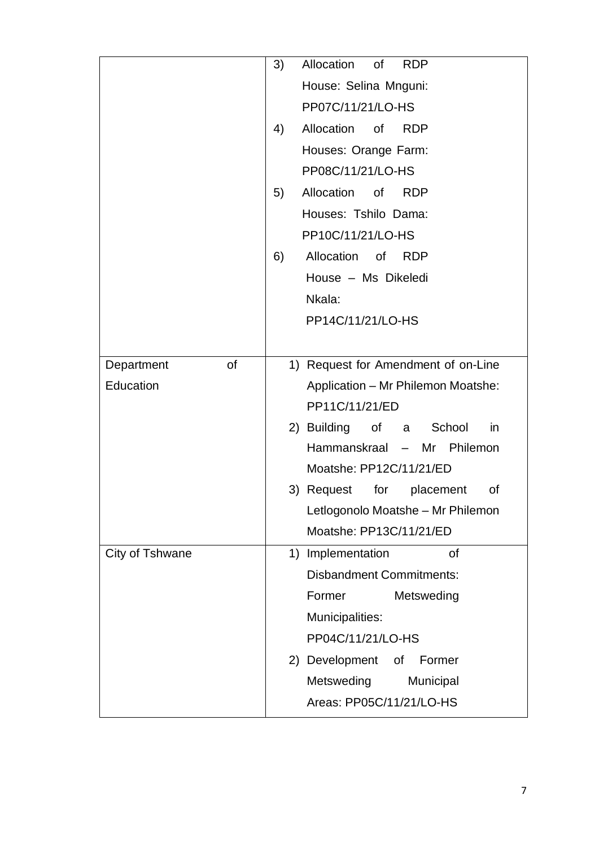|                         | 3)                                  | Allocation<br>of<br><b>RDP</b>                                           |  |  |
|-------------------------|-------------------------------------|--------------------------------------------------------------------------|--|--|
|                         |                                     | House: Selina Mnguni:<br>PP07C/11/21/LO-HS                               |  |  |
|                         |                                     |                                                                          |  |  |
|                         | Allocation of<br>4)<br><b>RDP</b>   |                                                                          |  |  |
|                         |                                     | Houses: Orange Farm:                                                     |  |  |
|                         |                                     | PP08C/11/21/LO-HS                                                        |  |  |
|                         | 5)                                  | Allocation of<br><b>RDP</b><br>Houses: Tshilo Dama:<br>PP10C/11/21/LO-HS |  |  |
|                         |                                     |                                                                          |  |  |
|                         |                                     |                                                                          |  |  |
|                         | 6)                                  | Allocation of<br><b>RDP</b>                                              |  |  |
|                         |                                     | House - Ms Dikeledi                                                      |  |  |
|                         |                                     | Nkala:                                                                   |  |  |
|                         |                                     | PP14C/11/21/LO-HS                                                        |  |  |
|                         |                                     |                                                                          |  |  |
| <b>of</b><br>Department | 1) Request for Amendment of on-Line |                                                                          |  |  |
| Education               | Application - Mr Philemon Moatshe:  |                                                                          |  |  |
|                         | PP11C/11/21/ED                      |                                                                          |  |  |
|                         |                                     | in<br>2) Building of a<br>School                                         |  |  |
|                         | Hammanskraal - Mr Philemon          |                                                                          |  |  |
|                         |                                     | Moatshe: PP12C/11/21/ED                                                  |  |  |
|                         |                                     | 3) Request for placement<br>0f                                           |  |  |
|                         |                                     | Letlogonolo Moatshe - Mr Philemon                                        |  |  |
|                         | Moatshe: PP13C/11/21/ED             |                                                                          |  |  |
| City of Tshwane         |                                     | <b>of</b><br>1) Implementation                                           |  |  |
|                         |                                     | <b>Disbandment Commitments:</b>                                          |  |  |
|                         |                                     | Former<br>Metsweding                                                     |  |  |
|                         |                                     | Municipalities:                                                          |  |  |
|                         |                                     | PP04C/11/21/LO-HS                                                        |  |  |
|                         |                                     | 2) Development<br>Οf<br>Former                                           |  |  |
|                         |                                     | Metsweding<br>Municipal                                                  |  |  |
|                         |                                     | Areas: PP05C/11/21/LO-HS                                                 |  |  |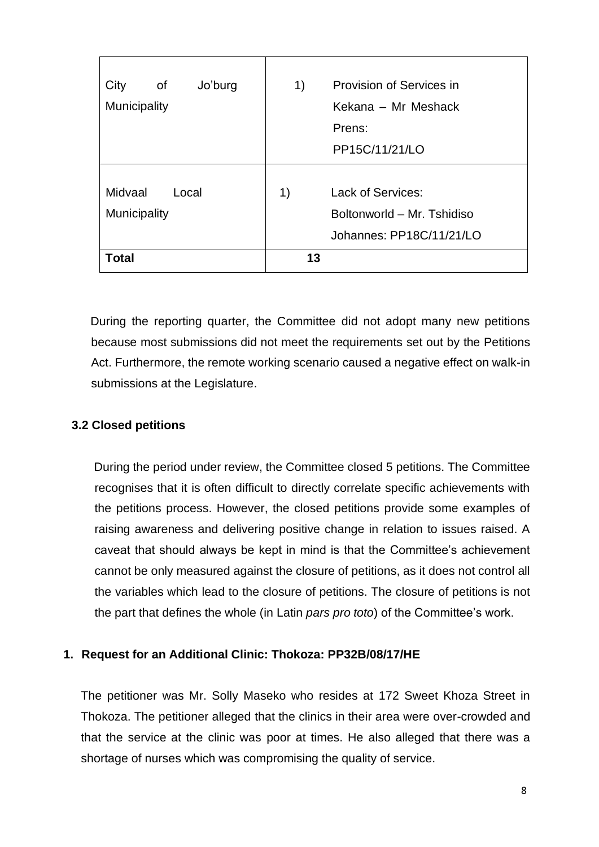| City<br>of<br>Jo'burg | 1)                         | Provision of Services in |  |
|-----------------------|----------------------------|--------------------------|--|
| Municipality          | Kekana - Mr Meshack        |                          |  |
|                       |                            | Prens:                   |  |
|                       |                            | PP15C/11/21/LO           |  |
|                       |                            |                          |  |
| Midvaal<br>Local      | 1)                         | <b>Lack of Services:</b> |  |
| <b>Municipality</b>   | Boltonworld - Mr. Tshidiso |                          |  |
|                       |                            | Johannes: PP18C/11/21/LO |  |
| Total                 | 13                         |                          |  |

During the reporting quarter, the Committee did not adopt many new petitions because most submissions did not meet the requirements set out by the Petitions Act. Furthermore, the remote working scenario caused a negative effect on walk-in submissions at the Legislature.

#### <span id="page-8-0"></span>**3.2 Closed petitions**

During the period under review, the Committee closed 5 petitions. The Committee recognises that it is often difficult to directly correlate specific achievements with the petitions process. However, the closed petitions provide some examples of raising awareness and delivering positive change in relation to issues raised. A caveat that should always be kept in mind is that the Committee's achievement cannot be only measured against the closure of petitions, as it does not control all the variables which lead to the closure of petitions. The closure of petitions is not the part that defines the whole (in Latin *pars pro toto*) of the Committee's work.

#### **1. Request for an Additional Clinic: Thokoza: PP32B/08/17/HE**

The petitioner was Mr. Solly Maseko who resides at 172 Sweet Khoza Street in Thokoza. The petitioner alleged that the clinics in their area were over-crowded and that the service at the clinic was poor at times. He also alleged that there was a shortage of nurses which was compromising the quality of service.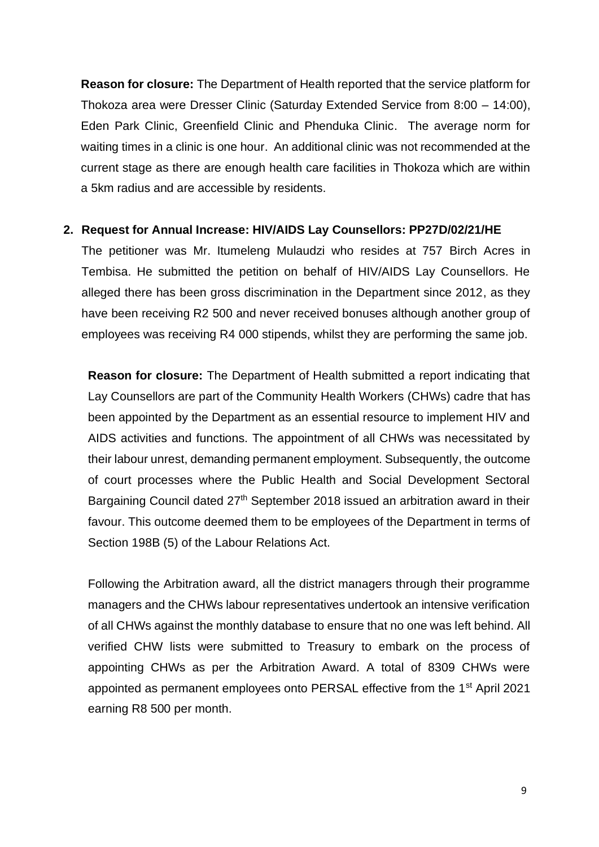**Reason for closure:** The Department of Health reported that the service platform for Thokoza area were Dresser Clinic (Saturday Extended Service from 8:00 – 14:00), Eden Park Clinic, Greenfield Clinic and Phenduka Clinic. The average norm for waiting times in a clinic is one hour. An additional clinic was not recommended at the current stage as there are enough health care facilities in Thokoza which are within a 5km radius and are accessible by residents.

#### **2. Request for Annual Increase: HIV/AIDS Lay Counsellors: PP27D/02/21/HE**

The petitioner was Mr. Itumeleng Mulaudzi who resides at 757 Birch Acres in Tembisa. He submitted the petition on behalf of HIV/AIDS Lay Counsellors. He alleged there has been gross discrimination in the Department since 2012, as they have been receiving R2 500 and never received bonuses although another group of employees was receiving R4 000 stipends, whilst they are performing the same job.

**Reason for closure:** The Department of Health submitted a report indicating that Lay Counsellors are part of the Community Health Workers (CHWs) cadre that has been appointed by the Department as an essential resource to implement HIV and AIDS activities and functions. The appointment of all CHWs was necessitated by their labour unrest, demanding permanent employment. Subsequently, the outcome of court processes where the Public Health and Social Development Sectoral Bargaining Council dated 27<sup>th</sup> September 2018 issued an arbitration award in their favour. This outcome deemed them to be employees of the Department in terms of Section 198B (5) of the Labour Relations Act.

Following the Arbitration award, all the district managers through their programme managers and the CHWs labour representatives undertook an intensive verification of all CHWs against the monthly database to ensure that no one was left behind. All verified CHW lists were submitted to Treasury to embark on the process of appointing CHWs as per the Arbitration Award. A total of 8309 CHWs were appointed as permanent employees onto PERSAL effective from the 1st April 2021 earning R8 500 per month.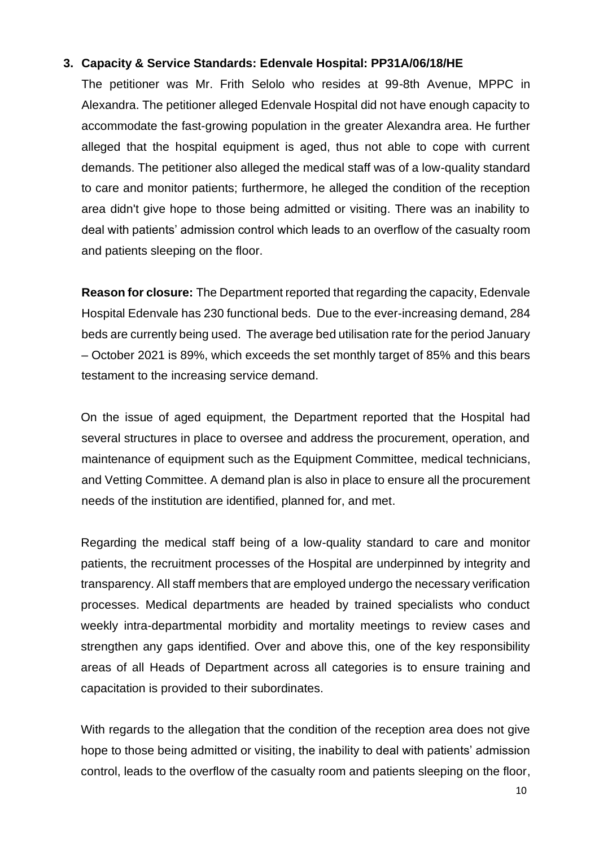#### **3. Capacity & Service Standards: Edenvale Hospital: PP31A/06/18/HE**

The petitioner was Mr. Frith Selolo who resides at 99-8th Avenue, MPPC in Alexandra. The petitioner alleged Edenvale Hospital did not have enough capacity to accommodate the fast-growing population in the greater Alexandra area. He further alleged that the hospital equipment is aged, thus not able to cope with current demands. The petitioner also alleged the medical staff was of a low-quality standard to care and monitor patients; furthermore, he alleged the condition of the reception area didn't give hope to those being admitted or visiting. There was an inability to deal with patients' admission control which leads to an overflow of the casualty room and patients sleeping on the floor.

**Reason for closure:** The Department reported that regarding the capacity, Edenvale Hospital Edenvale has 230 functional beds. Due to the ever-increasing demand, 284 beds are currently being used. The average bed utilisation rate for the period January – October 2021 is 89%, which exceeds the set monthly target of 85% and this bears testament to the increasing service demand.

On the issue of aged equipment, the Department reported that the Hospital had several structures in place to oversee and address the procurement, operation, and maintenance of equipment such as the Equipment Committee, medical technicians, and Vetting Committee. A demand plan is also in place to ensure all the procurement needs of the institution are identified, planned for, and met.

Regarding the medical staff being of a low-quality standard to care and monitor patients, the recruitment processes of the Hospital are underpinned by integrity and transparency. All staff members that are employed undergo the necessary verification processes. Medical departments are headed by trained specialists who conduct weekly intra-departmental morbidity and mortality meetings to review cases and strengthen any gaps identified. Over and above this, one of the key responsibility areas of all Heads of Department across all categories is to ensure training and capacitation is provided to their subordinates.

With regards to the allegation that the condition of the reception area does not give hope to those being admitted or visiting, the inability to deal with patients' admission control, leads to the overflow of the casualty room and patients sleeping on the floor,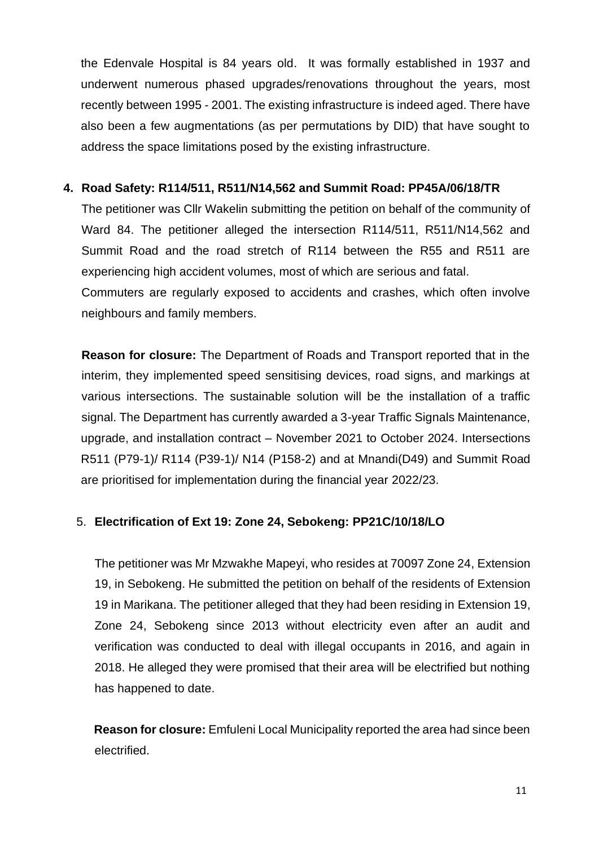the Edenvale Hospital is 84 years old. It was formally established in 1937 and underwent numerous phased upgrades/renovations throughout the years, most recently between 1995 - 2001. The existing infrastructure is indeed aged. There have also been a few augmentations (as per permutations by DID) that have sought to address the space limitations posed by the existing infrastructure.

#### **4. Road Safety: R114/511, R511/N14,562 and Summit Road: PP45A/06/18/TR**

The petitioner was Cllr Wakelin submitting the petition on behalf of the community of Ward 84. The petitioner alleged the intersection R114/511, R511/N14,562 and Summit Road and the road stretch of R114 between the R55 and R511 are experiencing high accident volumes, most of which are serious and fatal. Commuters are regularly exposed to accidents and crashes, which often involve

neighbours and family members.

**Reason for closure:** The Department of Roads and Transport reported that in the interim, they implemented speed sensitising devices, road signs, and markings at various intersections. The sustainable solution will be the installation of a traffic signal. The Department has currently awarded a 3-year Traffic Signals Maintenance, upgrade, and installation contract – November 2021 to October 2024. Intersections R511 (P79-1)/ R114 (P39-1)/ N14 (P158-2) and at Mnandi(D49) and Summit Road are prioritised for implementation during the financial year 2022/23.

#### 5. **Electrification of Ext 19: Zone 24, Sebokeng: PP21C/10/18/LO**

The petitioner was Mr Mzwakhe Mapeyi, who resides at 70097 Zone 24, Extension 19, in Sebokeng. He submitted the petition on behalf of the residents of Extension 19 in Marikana. The petitioner alleged that they had been residing in Extension 19, Zone 24, Sebokeng since 2013 without electricity even after an audit and verification was conducted to deal with illegal occupants in 2016, and again in 2018. He alleged they were promised that their area will be electrified but nothing has happened to date.

**Reason for closure:** Emfuleni Local Municipality reported the area had since been electrified.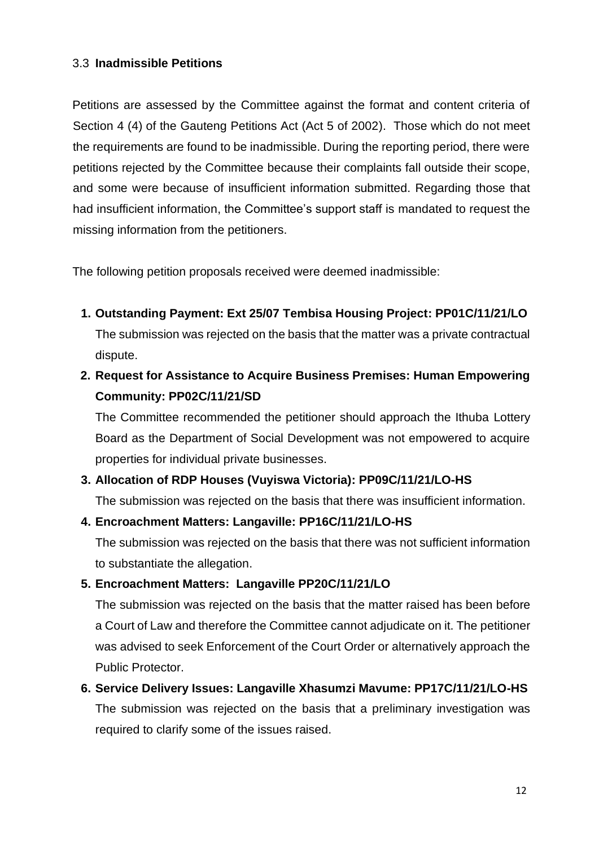#### 3.3 **Inadmissible Petitions**

Petitions are assessed by the Committee against the format and content criteria of Section 4 (4) of the Gauteng Petitions Act (Act 5 of 2002). Those which do not meet the requirements are found to be inadmissible. During the reporting period, there were petitions rejected by the Committee because their complaints fall outside their scope, and some were because of insufficient information submitted. Regarding those that had insufficient information, the Committee's support staff is mandated to request the missing information from the petitioners.

The following petition proposals received were deemed inadmissible:

**1. Outstanding Payment: Ext 25/07 Tembisa Housing Project: PP01C/11/21/LO**

The submission was rejected on the basis that the matter was a private contractual dispute.

## **2. Request for Assistance to Acquire Business Premises: Human Empowering Community: PP02C/11/21/SD**

The Committee recommended the petitioner should approach the Ithuba Lottery Board as the Department of Social Development was not empowered to acquire properties for individual private businesses.

#### **3. Allocation of RDP Houses (Vuyiswa Victoria): PP09C/11/21/LO-HS**

The submission was rejected on the basis that there was insufficient information.

#### **4. Encroachment Matters: Langaville: PP16C/11/21/LO-HS**

The submission was rejected on the basis that there was not sufficient information to substantiate the allegation.

#### **5. Encroachment Matters: Langaville PP20C/11/21/LO**

The submission was rejected on the basis that the matter raised has been before a Court of Law and therefore the Committee cannot adjudicate on it. The petitioner was advised to seek Enforcement of the Court Order or alternatively approach the Public Protector.

**6. Service Delivery Issues: Langaville Xhasumzi Mavume: PP17C/11/21/LO-HS** The submission was rejected on the basis that a preliminary investigation was required to clarify some of the issues raised.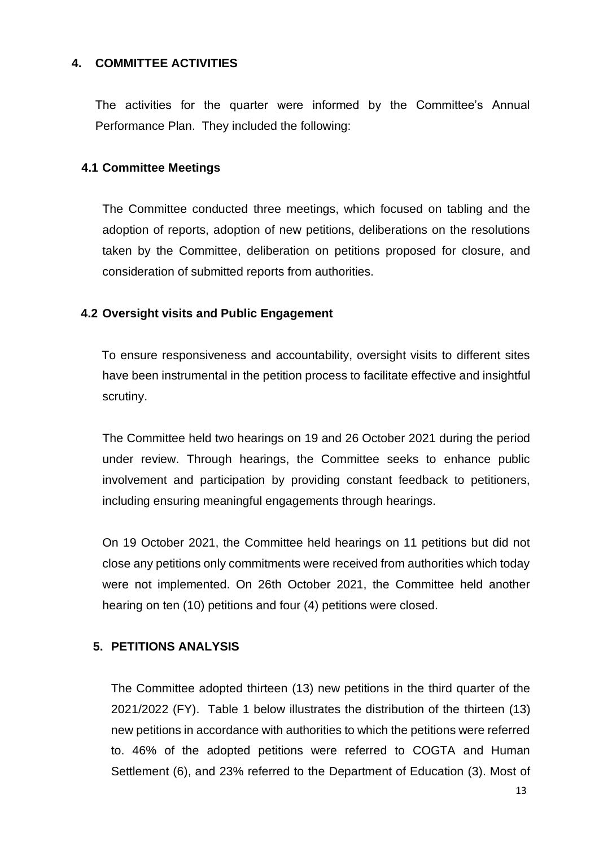#### <span id="page-13-0"></span>**4. COMMITTEE ACTIVITIES**

The activities for the quarter were informed by the Committee's Annual Performance Plan. They included the following:

#### **4.1 Committee Meetings**

The Committee conducted three meetings, which focused on tabling and the adoption of reports, adoption of new petitions, deliberations on the resolutions taken by the Committee, deliberation on petitions proposed for closure, and consideration of submitted reports from authorities.

#### **4.2 Oversight visits and Public Engagement**

To ensure responsiveness and accountability, oversight visits to different sites have been instrumental in the petition process to facilitate effective and insightful scrutiny.

The Committee held two hearings on 19 and 26 October 2021 during the period under review. Through hearings, the Committee seeks to enhance public involvement and participation by providing constant feedback to petitioners, including ensuring meaningful engagements through hearings.

On 19 October 2021, the Committee held hearings on 11 petitions but did not close any petitions only commitments were received from authorities which today were not implemented. On 26th October 2021, the Committee held another hearing on ten (10) petitions and four (4) petitions were closed.

#### **5. PETITIONS ANALYSIS**

The Committee adopted thirteen (13) new petitions in the third quarter of the 2021/2022 (FY). Table 1 below illustrates the distribution of the thirteen (13) new petitions in accordance with authorities to which the petitions were referred to. 46% of the adopted petitions were referred to COGTA and Human Settlement (6), and 23% referred to the Department of Education (3). Most of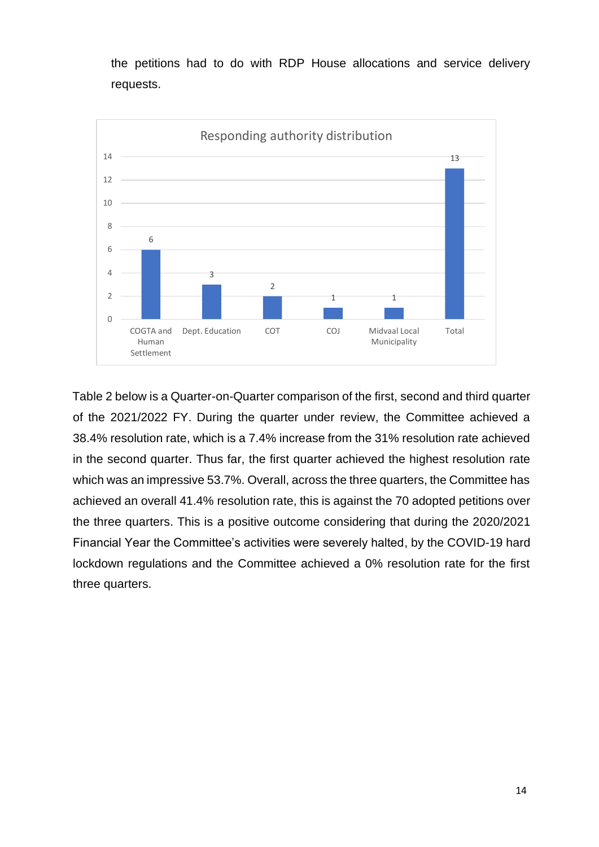the petitions had to do with RDP House allocations and service delivery requests.



Table 2 below is a Quarter-on-Quarter comparison of the first, second and third quarter of the 2021/2022 FY. During the quarter under review, the Committee achieved a 38.4% resolution rate, which is a 7.4% increase from the 31% resolution rate achieved in the second quarter. Thus far, the first quarter achieved the highest resolution rate which was an impressive 53.7%. Overall, across the three quarters, the Committee has achieved an overall 41.4% resolution rate, this is against the 70 adopted petitions over the three quarters. This is a positive outcome considering that during the 2020/2021 Financial Year the Committee's activities were severely halted, by the COVID-19 hard lockdown regulations and the Committee achieved a 0% resolution rate for the first three quarters.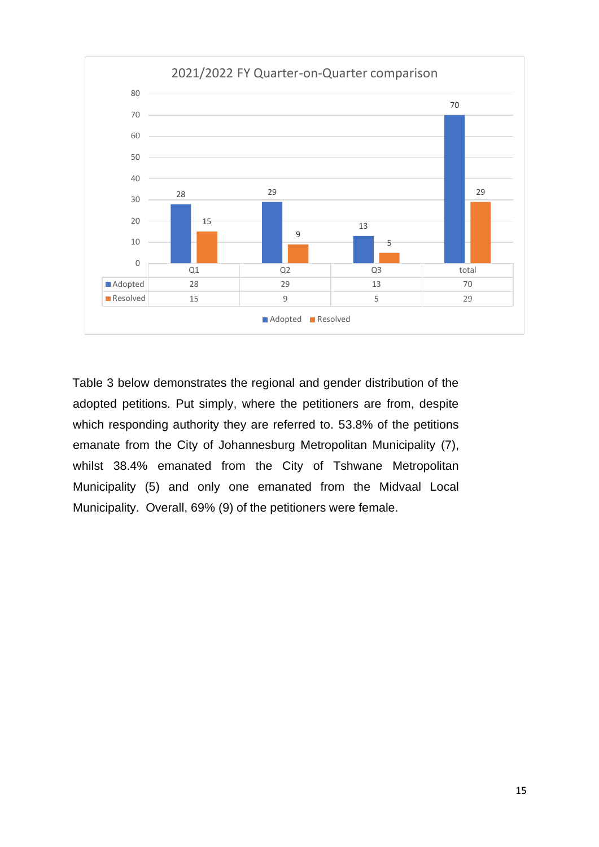

Table 3 below demonstrates the regional and gender distribution of the adopted petitions. Put simply, where the petitioners are from, despite which responding authority they are referred to. 53.8% of the petitions emanate from the City of Johannesburg Metropolitan Municipality (7), whilst 38.4% emanated from the City of Tshwane Metropolitan Municipality (5) and only one emanated from the Midvaal Local Municipality. Overall, 69% (9) of the petitioners were female.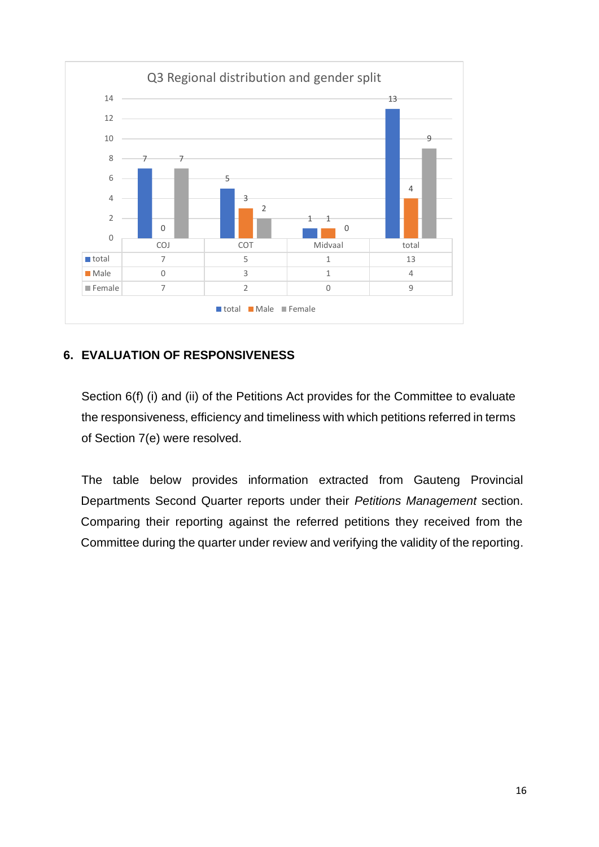

#### <span id="page-16-0"></span>**6. EVALUATION OF RESPONSIVENESS**

Section 6(f) (i) and (ii) of the Petitions Act provides for the Committee to evaluate the responsiveness, efficiency and timeliness with which petitions referred in terms of Section 7(e) were resolved.

The table below provides information extracted from Gauteng Provincial Departments Second Quarter reports under their *Petitions Management* section. Comparing their reporting against the referred petitions they received from the Committee during the quarter under review and verifying the validity of the reporting.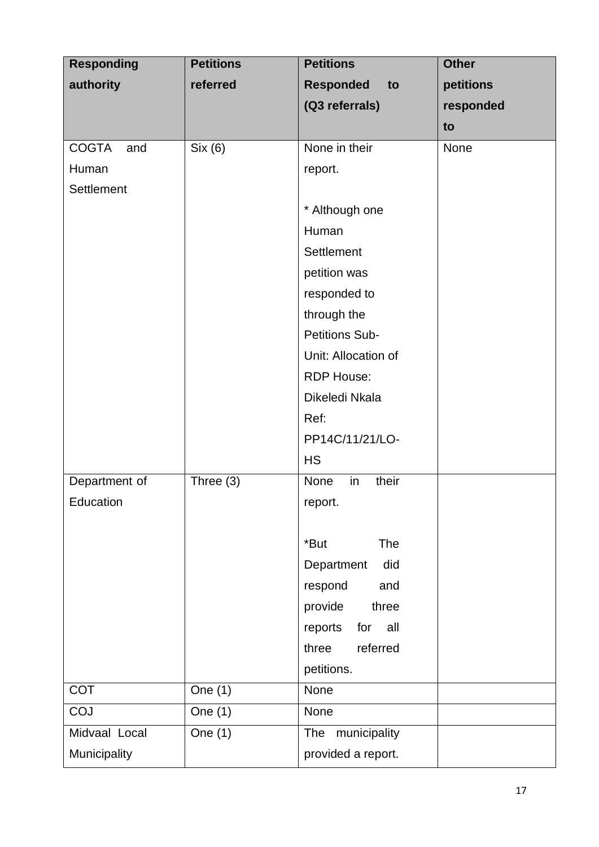| <b>Responding</b>   | <b>Petitions</b> | <b>Petitions</b>       | <b>Other</b> |
|---------------------|------------------|------------------------|--------------|
| authority           | referred         | <b>Responded</b><br>to | petitions    |
|                     |                  | (Q3 referrals)         | responded    |
|                     |                  |                        | to           |
| <b>COGTA</b><br>and | Six (6)          | None in their          | None         |
| Human               |                  | report.                |              |
| Settlement          |                  |                        |              |
|                     |                  | * Although one         |              |
|                     |                  | Human                  |              |
|                     |                  | <b>Settlement</b>      |              |
|                     |                  | petition was           |              |
|                     |                  | responded to           |              |
|                     |                  | through the            |              |
|                     |                  | <b>Petitions Sub-</b>  |              |
|                     |                  | Unit: Allocation of    |              |
|                     |                  | <b>RDP House:</b>      |              |
|                     |                  | Dikeledi Nkala         |              |
|                     |                  | Ref:                   |              |
|                     |                  | PP14C/11/21/LO-        |              |
|                     |                  | <b>HS</b>              |              |
| Department of       | Three (3)        | their<br>None<br>in    |              |
| Education           |                  | report.                |              |
|                     |                  |                        |              |
|                     |                  | *But<br>The            |              |
|                     |                  | Department<br>did      |              |
|                     |                  | respond<br>and         |              |
|                     |                  | three<br>provide       |              |
|                     |                  | reports<br>for<br>all  |              |
|                     |                  | referred<br>three      |              |
|                     |                  | petitions.             |              |
| <b>COT</b>          | One $(1)$        | None                   |              |
| COJ                 | One $(1)$        | None                   |              |
| Midvaal Local       | One $(1)$        | The municipality       |              |
| Municipality        |                  | provided a report.     |              |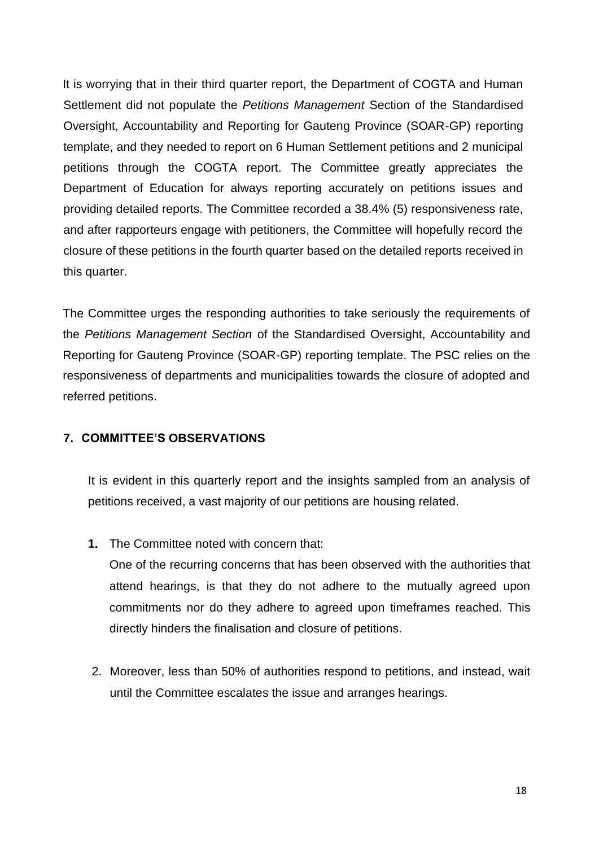It is worrying that in their third quarter report, the Department of COGTA and Human Settlement did not populate the *Petitions Management* Section of the Standardised Oversight, Accountability and Reporting for Gauteng Province (SOAR-GP) reporting template, and they needed to report on 6 Human Settlement petitions and 2 municipal petitions through the COGTA report. The Committee greatly appreciates the Department of Education for always reporting accurately on petitions issues and providing detailed reports. The Committee recorded a 38.4% (5) responsiveness rate, and after rapporteurs engage with petitioners, the Committee will hopefully record the closure of these petitions in the fourth quarter based on the detailed reports received in this quarter.

The Committee urges the responding authorities to take seriously the requirements of the *Petitions Management Section* of the Standardised Oversight, Accountability and Reporting for Gauteng Province (SOAR-GP) reporting template. The PSC relies on the responsiveness of departments and municipalities towards the closure of adopted and referred petitions.

#### <span id="page-18-0"></span>**7. COMMITTEE'S OBSERVATIONS**

It is evident in this quarterly report and the insights sampled from an analysis of petitions received, a vast majority of our petitions are housing related.

**1.** The Committee noted with concern that:

One of the recurring concerns that has been observed with the authorities that attend hearings, is that they do not adhere to the mutually agreed upon commitments nor do they adhere to agreed upon timeframes reached. This directly hinders the finalisation and closure of petitions.

2. Moreover, less than 50% of authorities respond to petitions, and instead, wait until the Committee escalates the issue and arranges hearings.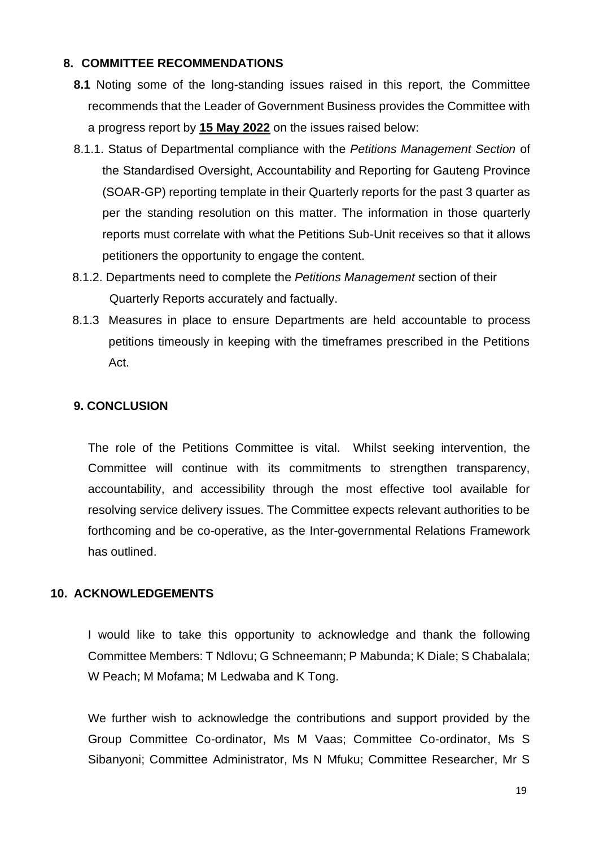#### **8. COMMITTEE RECOMMENDATIONS**

- **8.1** Noting some of the long-standing issues raised in this report, the Committee recommends that the Leader of Government Business provides the Committee with a progress report by **15 May 2022** on the issues raised below:
- 8.1.1. Status of Departmental compliance with the *Petitions Management Section* of the Standardised Oversight, Accountability and Reporting for Gauteng Province (SOAR-GP) reporting template in their Quarterly reports for the past 3 quarter as per the standing resolution on this matter. The information in those quarterly reports must correlate with what the Petitions Sub-Unit receives so that it allows petitioners the opportunity to engage the content.
- 8.1.2. Departments need to complete the *Petitions Management* section of their Quarterly Reports accurately and factually.
- 8.1.3 Measures in place to ensure Departments are held accountable to process petitions timeously in keeping with the timeframes prescribed in the Petitions Act.

#### <span id="page-19-0"></span>**9. CONCLUSION**

The role of the Petitions Committee is vital. Whilst seeking intervention, the Committee will continue with its commitments to strengthen transparency, accountability, and accessibility through the most effective tool available for resolving service delivery issues. The Committee expects relevant authorities to be forthcoming and be co-operative, as the Inter-governmental Relations Framework has outlined.

#### <span id="page-19-1"></span>**10. ACKNOWLEDGEMENTS**

I would like to take this opportunity to acknowledge and thank the following Committee Members: T Ndlovu; G Schneemann; P Mabunda; K Diale; S Chabalala; W Peach; M Mofama; M Ledwaba and K Tong.

We further wish to acknowledge the contributions and support provided by the Group Committee Co-ordinator, Ms M Vaas; Committee Co-ordinator, Ms S Sibanyoni; Committee Administrator, Ms N Mfuku; Committee Researcher, Mr S